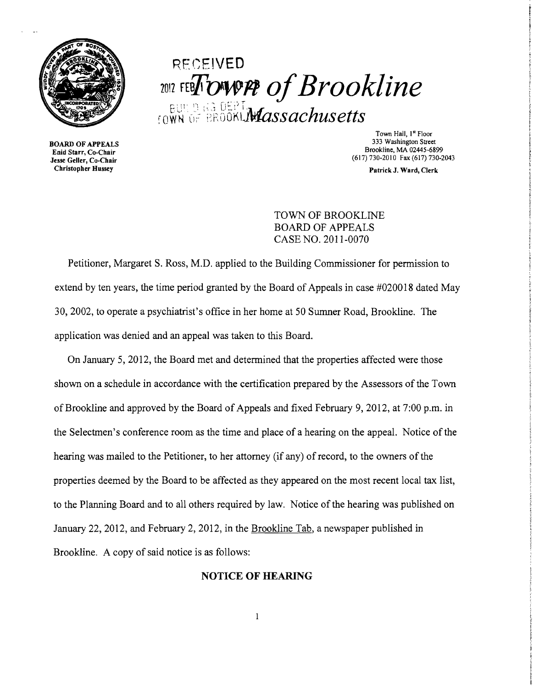

## RECEIVED  $\frac{1}{2012}$  FEBFOWVPP of Brookline  $_{\rm{rowN}}$  of 'erogki. Massachusetts'

BOARD OF APPEALS Enid Starr, Co-Chair Jesse Geller, Co-Chair Christopher Hussey

Town Hall, 1st Floor 333 Washington Street Brookline, MA 02445-6899 (617)730-2010 Fax (617)730-2043

Patrick J. Ward, Clerk

TOWN OF BROOKLINE BOARD OF APPEALS CASE NO. 2011-0070

Petitioner, Margaret S. Ross, M.D. applied to the Building Commissioner for permission to extend by ten years, the time period granted by the Board of Appeals in case #020018 dated May 30,2002, to operate a psychiatrist's office in her home at 50 Sumner Road, Brookline. The application was denied and an appeal was taken to this Board.

On January 5, 2012, the Board met and detennined that the properties affected were those shown on a schedule in accordance with the certification prepared by the Assessors of the Town of Brookline and approved by the Board of Appeals and fixed February 9, 2012, at 7:00 p.m. in the Selectmen's conference room as the time and place of a hearing on the appeal. Notice of the hearing was mailed to the Petitioner, to her attorney (if any) of record, to the owners of the properties deemed by the Board to be affected as they appeared on the most recent local tax list, to the Planning Board and to all others required by law. Notice of the hearing was published on January 22,2012, and February 2,2012, in the Brookline Tab, a newspaper published in Brookline. A copy of said notice is as follows:

## NOTICE **OF** HEARING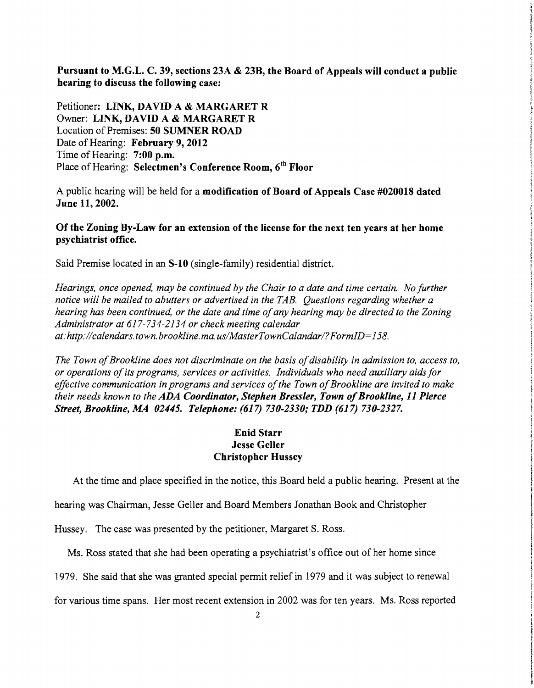Pursuant to M.G.L. C. 39, sections 23A & 23B, the Board of Appeals will conduct a public hearing to discuss the following case:

Petitioner: LINK, DAYID A & MARGARET R Owner: LINK, DAVID A & MARGARET R Location of Premises: 50 SUMNER ROAD Date of Hearing: February 9, 2012 Time of Hearing: 7:00 p.m. Place of Hearing: Selectmen's Conference Room, 6<sup>th</sup> Floor

A public hearing will be held for a modification of Board of Appeals Case #020018 dated June 11, 2002.

## Of the Zoning By-Law for an extension of the license for the next ten years at her home psychiatrist office.

Said Premise located in an S-lO (single-family) residential district.

*Hearings, once opened, may be continued by the Chair to a date and time certain. No further notice will be mailed to abutters or advertised in the TAB. Questions regarding whether a hearing has been continued, or the date and time ofany hearing may be directed to the Zoning Administrator at* 617-734-2134 *or check meeting calendar at:http://calendars.town.brookline.ma.usIMasterTownCalandarl?FormID=158.* 

*The Town of Brookline does not discriminate on the basis of disability in admission to, access to, or operations ofits programs, services or activities. Individuals who need auxiliary aids for*  effective communication in programs and services of the Town of Brookline are invited to make *their needs known to the ADA Coordinator, Stephen Bressler, Town 0/Brookline,* 11 *Pierce Street, Brookline, MA 02445. Telephone:* (617) *730-2330; TDD* (617) *730-2327.* 

## Enid Starr Jesse Geller Christopher Hussey

At the time and place specified in the notice, this Board held a public hearing. Present at the

hearing was Chairman, Jesse Geller and Board Members Jonathan Book and Christopher

Hussey. The case was presented by the petitioner, Margaret S. Ross.

Ms. Ross stated that she had been operating a psychiatrist's office out of her home since

1979. She said that she was granted special pennit relief in 1979 and it was subject to renewal

for various time spans. Her most recent extension in 2002 was for ten years. Ms. Ross reported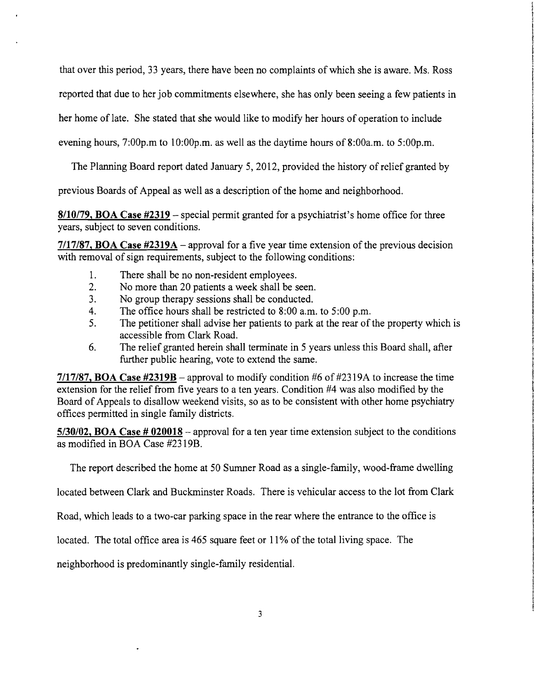that over this period, 33 years, there have been no complaints of which she is aware. Ms. Ross

reported that due to her job commitments elsewhere, she has only been seeing a few patients in

her home of late. She stated that she would like to modify her hours of operation to include

evening hours, 7:00p.m to 10:00p.m. as well as the daytime hours of 8:00a.m. to 5:00p.m.

The Planning Board report dated January 5, 2012, provided the history of relief granted by

previous Boards of Appeal as well as a description of the home and neighborhood.

**8/10/79, BOA Case #2319** - special permit granted for a psychiatrist's home office for three years, subject to seven conditions.

**7/17/87, BOA Case #2319A** - approval for a five year time extension of the previous decision with removal of sign requirements, subject to the following conditions:

- 1. There shall be no non-resident employees.
- 2. No more than 20 patients a week shall be seen.
- 3. No group therapy sessions shall be conducted.
- 4. The office hours shall be restricted to 8:00 a.m. to 5:00 p.m.
- 5. The petitioner shall advise her patients to park at the rear of the property which is accessible from Clark Road.
- 6. The relief granted herein shall terminate in 5 years unless this Board shall, after further public hearing, vote to extend the same.

**7/17/87, BOA Case #2319B** - approval to modify condition #6 of#2319A to increase the time extension for the relief from five years to a ten years. Condition #4 was also modified by the Board of Appeals to disallow weekend visits, so as to be consistent with other home psychiatry offices permitted in single family districts.

**5/30/02, BOA Case # 020018** - approval for a ten year time extension subject to the conditions as modified in BOA Case #2319B.

The report described the home at 50 Sumner Road as a single-family, wood-frame dwelling

located between Clark and Buckminster Roads. There is vehicular access to the lot from Clark

Road, which leads to a two-car parking space in the rear where the entrance to the office is

located. The total office area is 465 square feet or 11% of the total living space. The

neighborhood is predominantly single-family residential.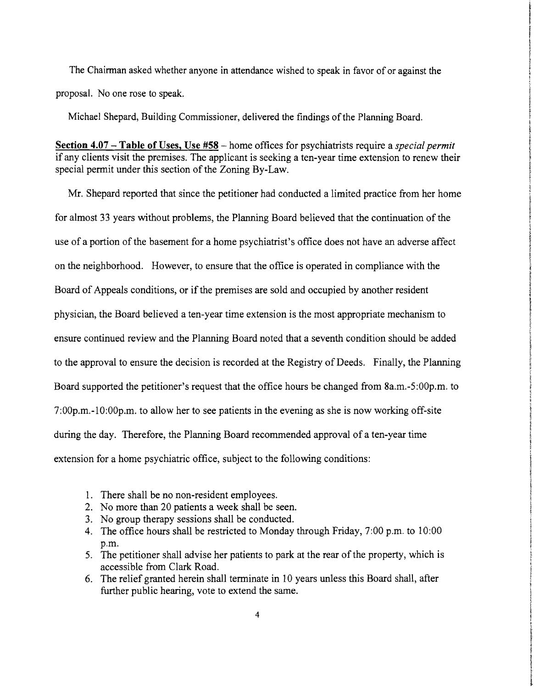The Chairman asked whether anyone in attendance wished to speak in favor of or against the proposal. No one rose to speak.

Michael Shepard, Building Commissioner, delivered the findings of the Planning Board.

**Section 4.07 - Table of** Uses, Use **#58** - home offices for psychiatrists require a *special permit*  if any clients visit the premises. The applicant is seeking a ten-year time extension to renew their special permit under this section of the Zoning By-Law.

Mr. Shepard reported that since the petitioner had conducted a limited practice from her home for almost 33 years without problems, the Planning Board believed that the continuation of the use of a portion of the basement for a home psychiatrist's office does not have an adverse affect on the neighborhood. However, to ensure that the office is operated in compliance with the Board of Appeals conditions, or if the premises are sold and occupied by another resident physician, the Board believed a ten-year time extension is the most appropriate mechanism to ensure continued review and the Planning Board noted that a seventh condition should be added to the approval to ensure the decision is recorded at the Registry of Deeds. Finally, the Planning Board supported the petitioner's request that the office hours be changed from 8a.m.-S:00p.m. to 7:00p.m.-IO:00p.m. to allow her to see patients in the evening as she is now working off-site during the day. Therefore, the Planning Board recommended approval of a ten-year time extension for a home psychiatric office, subject to the following conditions:

- 1. There shall be no non-resident employees.
- 2. No more than 20 patients a week shall be seen.
- 3. No group therapy sessions shall be conducted.
- 4. The office hours shall be restricted to Monday through Friday, 7:00 p.m. to 10:00 p.m.
- 5. The petitioner shall advise her patients to park at the rear of the property, which is accessible from Clark Road.
- 6. The relief granted herein shall terminate in 10 years unless this Board shall, after further public hearing, vote to extend the same.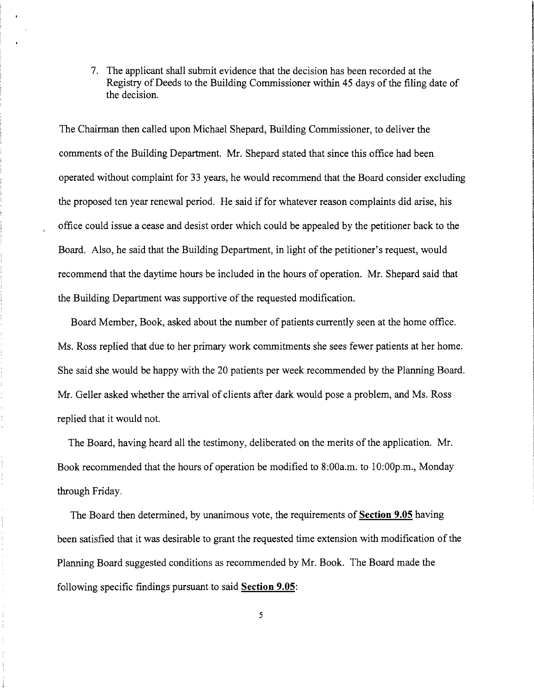7. The applicant shall submit evidence that the decision has been recorded at the Registry of Deeds to the Building Commissioner within 45 days of the filing date of the decision.

The Chairman then called upon Michael Shepard, Building Commissioner, to deliver the comments of the Building Department. Mr. Shepard stated that since this office had been operated without complaint for 33 years, he would recommend that the Board consider excluding the proposed ten year renewal period. He said if for whatever reason complaints did arise, his office could issue a cease and desist order which could be appealed by the petitioner back to the Board. Also, he said that the Building Department, in light of the petitioner's request, would recommend that the daytime hours be included in the hours of operation. Mr. Shepard said that the Building Department was supportive of the requested modification.

Board Member, Book, asked about the number of patients currently seen at the home office. Ms. Ross replied that due to her primary work commitments she sees fewer patients at her home. She said she would be happy with the 20 patients per week recommended by the Planning Board. Mr. Geller asked whether the arrival of clients after dark would pose a problem, and Ms. Ross replied that it would not.

The Board, having heard all the testimony, deliberated on the merits of the application. Mr. Book recommended that the hours of operation be modified to 8:00a.m. to 10:00p.m., Monday through Friday.

The Board then determined, by unanimous vote, the requirements of **Section 9.05** having been satisfied that it was desirable to grant the requested time extension with modification of the Planning Board suggested conditions as recommended by Mr. Book. The Board made the following specific findings pursuant to said **Section 9.05:** 

5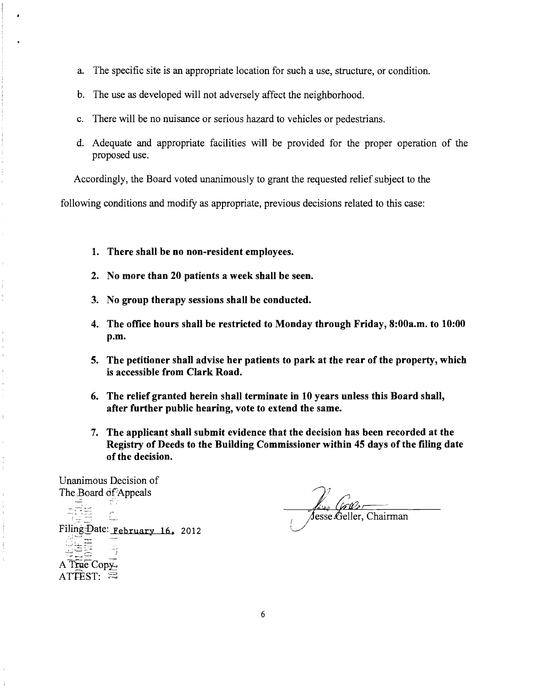- a. The specific site is an appropriate location for such a use, structure, or condition.
- b. The use as developed will not adversely affect the neighborhood.
- c. There will be no nuisance or serious hazard to vehicles or pedestrians.
- d. Adequate and appropriate facilities will be provided for the proper operation of the proposed use.

Accordingly, the Board voted unanimously to grant the requested relief subject to the

following conditions and modify as appropriate, previous decisions related to this case:

- 1. There shall be no non-resident employees.
- 2. No more than 20 patients a week shall be seen.
- 3. No group therapy sessions shall be conducted.
- 4. The office hours shall be restricted to Monday through Friday, 8:00a.m. to 10:00 p.m.
- 5. The petitioner shall advise her patients to park at the rear of the property, which is accessible from Clark Road.
- 6. The relief granted herein shall terminate in 10 years unless this Board shall, after further public hearing, vote to extend the same.
- 7. The applicant shall submit evidence that the decision has been recorded at the Registry of Deeds to the Building Commissioner within 45 days of the filing date of the decision.

Unanimous Decision of The Board of Appeals

 $\hat{\epsilon}$ 

 $\mathbf{j}$ 

Ċ. Filing:Date: February 16, 2012 ات حراسات A True Copy.  $\overline{\text{ATEST:}}$  :  $\Xi$ 

Jesse Geller, Chairman